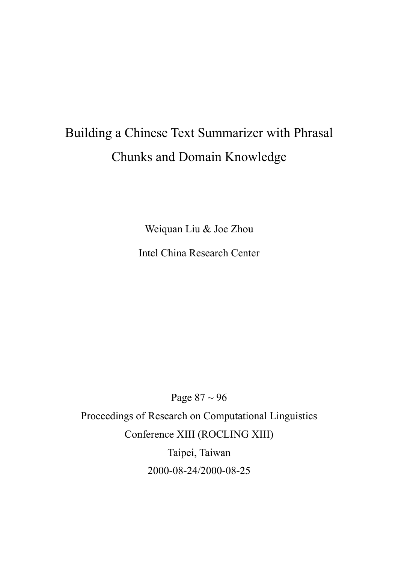# Building a Chinese Text Summarizer with Phrasal Chunks and Domain Knowledge

Weiquan Liu & Joe Zhou

Intel China Research Center

Page 87 ~ 96 Proceedings of Research on Computational Linguistics Conference XIII (ROCLING XIII) Taipei, Taiwan 2000-08-24/2000-08-25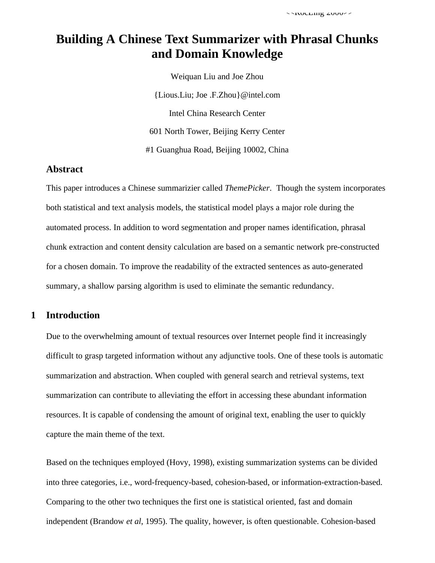# **Building A Chinese Text Summarizer with Phrasal Chunks and Domain Knowledge**

Weiquan Liu and Joe Zhou {Lious.Liu; Joe .F.Zhou}@intel.com Intel China Research Center 601 North Tower, Beijing Kerry Center #1 Guanghua Road, Beijing 10002, China

## **Abstract**

This paper introduces a Chinese summarizier called *ThemePicker*. Though the system incorporates both statistical and text analysis models, the statistical model plays a major role during the automated process. In addition to word segmentation and proper names identification, phrasal chunk extraction and content density calculation are based on a semantic network pre-constructed for a chosen domain. To improve the readability of the extracted sentences as auto-generated summary, a shallow parsing algorithm is used to eliminate the semantic redundancy.

#### **1 Introduction**

Due to the overwhelming amount of textual resources over Internet people find it increasingly difficult to grasp targeted information without any adjunctive tools. One of these tools is automatic summarization and abstraction. When coupled with general search and retrieval systems, text summarization can contribute to alleviating the effort in accessing these abundant information resources. It is capable of condensing the amount of original text, enabling the user to quickly capture the main theme of the text.

Based on the techniques employed (Hovy, 1998), existing summarization systems can be divided into three categories, i.e., word-frequency-based, cohesion-based, or information-extraction-based. Comparing to the other two techniques the first one is statistical oriented, fast and domain independent (Brandow *et al*, 1995). The quality, however, is often questionable. Cohesion-based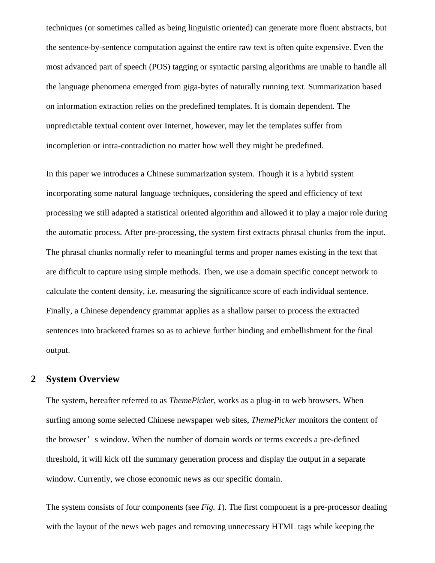techniques (or sometimes called as being linguistic oriented) can generate more fluent abstracts, but the sentence-by-sentence computation against the entire raw text is often quite expensive. Even the most advanced part of speech (POS) tagging or syntactic parsing algorithms are unable to handle all the language phenomena emerged from giga-bytes of naturally running text. Summarization based on information extraction relies on the predefined templates. It is domain dependent. The unpredictable textual content over Internet, however, may let the templates suffer from incompletion or intra-contradiction no matter how well they might be predefined.

In this paper we introduces a Chinese summarization system. Though it is a hybrid system incorporating some natural language techniques, considering the speed and efficiency of text processing we still adapted a statistical oriented algorithm and allowed it to play a major role during the automatic process. After pre-processing, the system first extracts phrasal chunks from the input. The phrasal chunks normally refer to meaningful terms and proper names existing in the text that are difficult to capture using simple methods. Then, we use a domain specific concept network to calculate the content density, i.e. measuring the significance score of each individual sentence. Finally, a Chinese dependency grammar applies as a shallow parser to process the extracted sentences into bracketed frames so as to achieve further binding and embellishment for the final output.

# **2 System Overview**

The system, hereafter referred to as *ThemePicker*, works as a plug-in to web browsers. When surfing among some selected Chinese newspaper web sites, *ThemePicker* monitors the content of the browser' s window. When the number of domain words or terms exceeds a pre-defined threshold, it will kick off the summary generation process and display the output in a separate window. Currently, we chose economic news as our specific domain.

The system consists of four components (see *Fig. 1*). The first component is a pre-processor dealing with the layout of the news web pages and removing unnecessary HTML tags while keeping the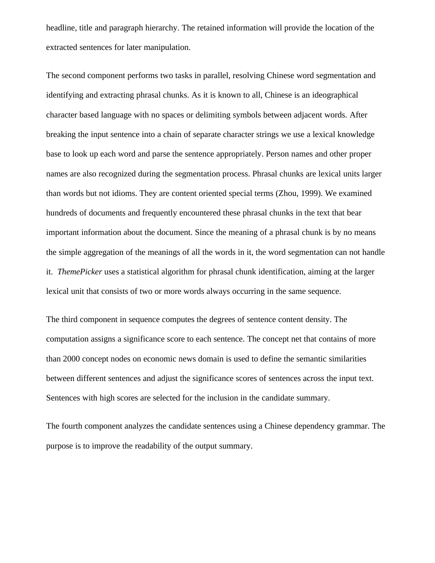headline, title and paragraph hierarchy. The retained information will provide the location of the extracted sentences for later manipulation.

The second component performs two tasks in parallel, resolving Chinese word segmentation and identifying and extracting phrasal chunks. As it is known to all, Chinese is an ideographical character based language with no spaces or delimiting symbols between adjacent words. After breaking the input sentence into a chain of separate character strings we use a lexical knowledge base to look up each word and parse the sentence appropriately. Person names and other proper names are also recognized during the segmentation process. Phrasal chunks are lexical units larger than words but not idioms. They are content oriented special terms (Zhou, 1999). We examined hundreds of documents and frequently encountered these phrasal chunks in the text that bear important information about the document. Since the meaning of a phrasal chunk is by no means the simple aggregation of the meanings of all the words in it, the word segmentation can not handle it. *ThemePicker* uses a statistical algorithm for phrasal chunk identification, aiming at the larger lexical unit that consists of two or more words always occurring in the same sequence.

The third component in sequence computes the degrees of sentence content density. The computation assigns a significance score to each sentence. The concept net that contains of more than 2000 concept nodes on economic news domain is used to define the semantic similarities between different sentences and adjust the significance scores of sentences across the input text. Sentences with high scores are selected for the inclusion in the candidate summary.

The fourth component analyzes the candidate sentences using a Chinese dependency grammar. The purpose is to improve the readability of the output summary.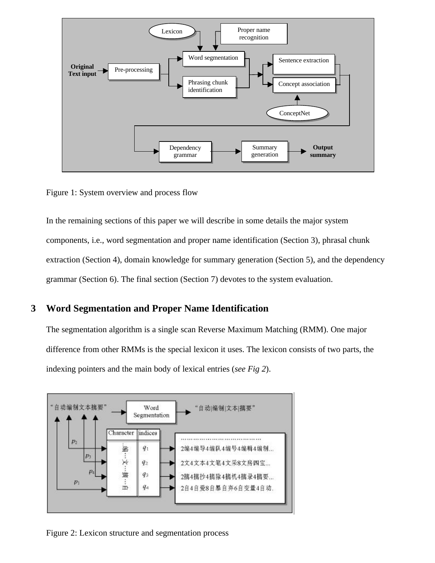

Figure 1: System overview and process flow

In the remaining sections of this paper we will describe in some details the major system components, i.e., word segmentation and proper name identification (Section 3), phrasal chunk extraction (Section 4), domain knowledge for summary generation (Section 5), and the dependency grammar (Section 6). The final section (Section 7) devotes to the system evaluation.

## **3 Word Segmentation and Proper Name Identification**

The segmentation algorithm is a single scan Reverse Maximum Matching (RMM). One major difference from other RMMs is the special lexicon it uses. The lexicon consists of two parts, the indexing pointers and the main body of lexical entries (*see Fig 2*).



Figure 2: Lexicon structure and segmentation process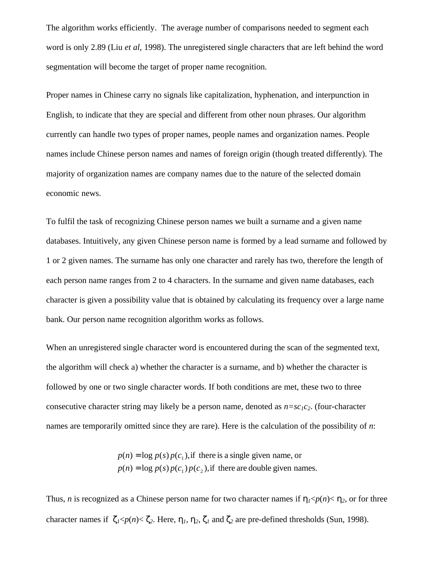The algorithm works efficiently. The average number of comparisons needed to segment each word is only 2.89 (Liu *et al*, 1998). The unregistered single characters that are left behind the word segmentation will become the target of proper name recognition.

Proper names in Chinese carry no signals like capitalization, hyphenation, and interpunction in English, to indicate that they are special and different from other noun phrases. Our algorithm currently can handle two types of proper names, people names and organization names. People names include Chinese person names and names of foreign origin (though treated differently). The majority of organization names are company names due to the nature of the selected domain economic news.

To fulfil the task of recognizing Chinese person names we built a surname and a given name databases. Intuitively, any given Chinese person name is formed by a lead surname and followed by 1 or 2 given names. The surname has only one character and rarely has two, therefore the length of each person name ranges from 2 to 4 characters. In the surname and given name databases, each character is given a possibility value that is obtained by calculating its frequency over a large name bank. Our person name recognition algorithm works as follows.

When an unregistered single character word is encountered during the scan of the segmented text, the algorithm will check a) whether the character is a surname, and b) whether the character is followed by one or two single character words. If both conditions are met, these two to three consecutive character string may likely be a person name, denoted as  $n = sc_1c_2$ . (four-character names are temporarily omitted since they are rare). Here is the calculation of the possibility of *n*:

> $p(n) = \log p(s) p(c_1) p(c_2)$ , if there are double given names.  $p(n) = \log p(s) p(c_1)$ , if there is a single given name, or

Thus, *n* is recognized as a Chinese person name for two character names if  $\eta_1 < p(n) < \eta_2$ , or for three character names if  $\zeta_1 \leq p(n) \leq \zeta_2$ . Here,  $\eta_1, \eta_2, \zeta_1$  and  $\zeta_2$  are pre-defined thresholds (Sun, 1998).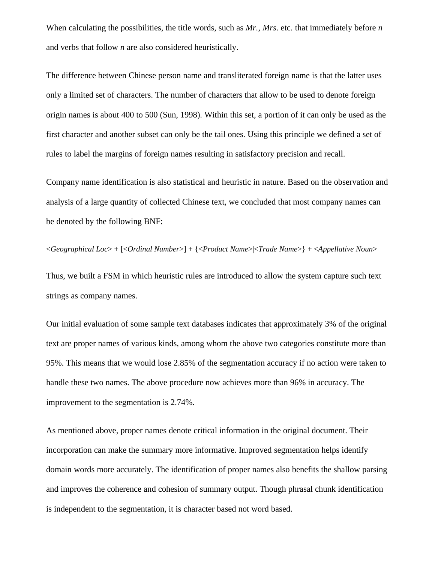When calculating the possibilities, the title words, such as *Mr.*, *Mrs*. etc. that immediately before *n* and verbs that follow *n* are also considered heuristically.

The difference between Chinese person name and transliterated foreign name is that the latter uses only a limited set of characters. The number of characters that allow to be used to denote foreign origin names is about 400 to 500 (Sun, 1998). Within this set, a portion of it can only be used as the first character and another subset can only be the tail ones. Using this principle we defined a set of rules to label the margins of foreign names resulting in satisfactory precision and recall.

Company name identification is also statistical and heuristic in nature. Based on the observation and analysis of a large quantity of collected Chinese text, we concluded that most company names can be denoted by the following BNF:

<*Geographical Loc*> + [<*Ordinal Number*>] + {<*Product Name*>|<*Trade Name*>} + <*Appellative Noun*>

Thus, we built a FSM in which heuristic rules are introduced to allow the system capture such text strings as company names.

Our initial evaluation of some sample text databases indicates that approximately 3% of the original text are proper names of various kinds, among whom the above two categories constitute more than 95%. This means that we would lose 2.85% of the segmentation accuracy if no action were taken to handle these two names. The above procedure now achieves more than 96% in accuracy. The improvement to the segmentation is 2.74%.

As mentioned above, proper names denote critical information in the original document. Their incorporation can make the summary more informative. Improved segmentation helps identify domain words more accurately. The identification of proper names also benefits the shallow parsing and improves the coherence and cohesion of summary output. Though phrasal chunk identification is independent to the segmentation, it is character based not word based.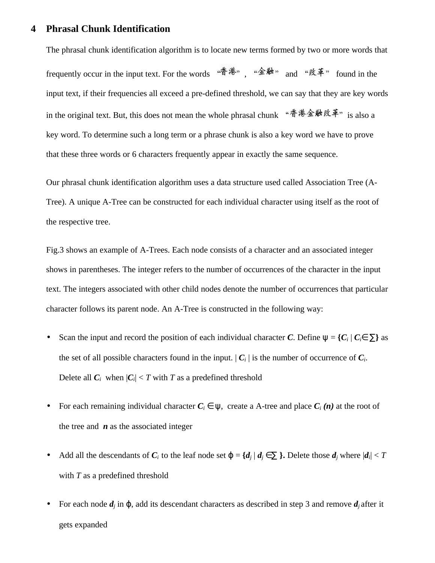#### **4 Phrasal Chunk Identification**

The phrasal chunk identification algorithm is to locate new terms formed by two or more words that frequently occur in the input text. For the words  $\mathscr{F}^{\sharp\sharp\ast}$ ,  $\mathscr{F}^{\sharp\ast}$  and  $\mathscr{F}^{\sharp\ast}$  found in the input text, if their frequencies all exceed a pre-defined threshold, we can say that they are key words in the original text. But, this does not mean the whole phrasal chunk "香港金融改革" is also a key word. To determine such a long term or a phrase chunk is also a key word we have to prove that these three words or 6 characters frequently appear in exactly the same sequence.

Our phrasal chunk identification algorithm uses a data structure used called Association Tree (A-Tree). A unique A-Tree can be constructed for each individual character using itself as the root of the respective tree.

Fig.3 shows an example of A-Trees. Each node consists of a character and an associated integer shows in parentheses. The integer refers to the number of occurrences of the character in the input text. The integers associated with other child nodes denote the number of occurrences that particular character follows its parent node. An A-Tree is constructed in the following way:

- Scan the input and record the position of each individual character *C*. Define  $\psi = \{C_i | C_i \in \Sigma\}$  as the set of all possible characters found in the input.  $|C_i|$  is the number of occurrence of  $C_i$ . Delete all  $C_i$  when  $|C_i| < T$  with *T* as a predefined threshold
- For each remaining individual character  $C_i \in \Psi$ , create a A-tree and place  $C_i(n)$  at the root of the tree and *n* as the associated integer
- Add all the descendants of  $C_i$  to the leaf node set  $\varphi = \{d_j \mid d_j \in \Sigma \}$ . Delete those  $d_j$  where  $|d_i| < T$ with *T* as a predefined threshold
- For each node *dj* in ϕ, add its descendant characters as described in step 3 and remove *dj* after it gets expanded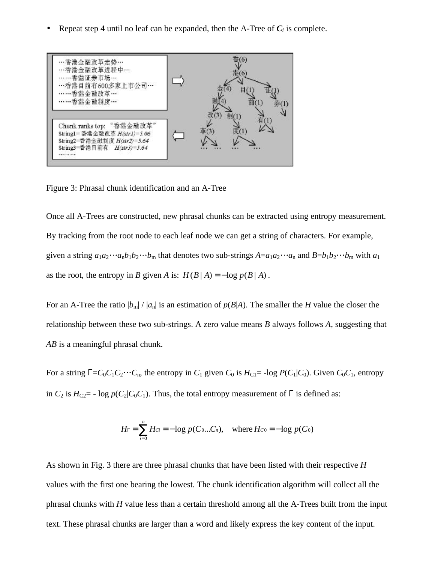Repeat step 4 until no leaf can be expanded, then the A-Tree of  $C_i$  is complete.



Figure 3: Phrasal chunk identification and an A-Tree

Once all A-Trees are constructed, new phrasal chunks can be extracted using entropy measurement. By tracking from the root node to each leaf node we can get a string of characters. For example, given a string  $a_1a_2 \cdots a_nb_1b_2 \cdots b_m$  that denotes two sub-strings  $A = a_1a_2 \cdots a_n$  and  $B = b_1b_2 \cdots b_m$  with  $a_1$ as the root, the entropy in *B* given *A* is:  $H(B|A) = -\log p(B|A)$ .

For an A-Tree the ratio  $|b_m|/|a_n|$  is an estimation of  $p(B|A)$ . The smaller the *H* value the closer the relationship between these two sub-strings. A zero value means *B* always follows *A*, suggesting that *AB* is a meaningful phrasal chunk.

For a string  $\mathbf{G} = C_0 C_1 C_2 \cdots C_n$ , the entropy in  $C_1$  given  $C_0$  is  $H_{\text{Cl}} = -\log P(C_1 | C_0)$ . Given  $C_0 C_1$ , entropy in  $C_2$  is  $H_{C2}$  = - log  $p(C_2|C_0C_1)$ . Thus, the total entropy measurement of *G* is defined as:

$$
H_{\Gamma} = \sum_{i=0}^{n} H_{Ci} = -\log p(C_0...C_n), \text{ where } H_{C_0} = -\log p(C_0)
$$

As shown in Fig. 3 there are three phrasal chunks that have been listed with their respective *H* values with the first one bearing the lowest. The chunk identification algorithm will collect all the phrasal chunks with *H* value less than a certain threshold among all the A-Trees built from the input text. These phrasal chunks are larger than a word and likely express the key content of the input.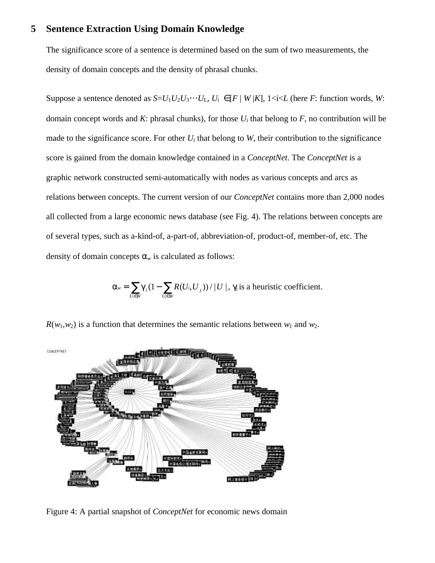#### **5 Sentence Extraction Using Domain Knowledge**

The significance score of a sentence is determined based on the sum of two measurements, the density of domain concepts and the density of phrasal chunks.

Suppose a sentence denoted as  $S=U_1U_2U_3\cdots U_L$ ,  $U_i \in [F | W | K]$ ,  $1 \le i \le L$  (here *F*: function words, *W*: domain concept words and *K*: phrasal chunks), for those *U*i that belong to *F*, no contribution will be made to the significance score. For other  $U_i$  that belong to  $W$ , their contribution to the significance score is gained from the domain knowledge contained in a *ConceptNet*. The *ConceptNet* is a graphic network constructed semi-automatically with nodes as various concepts and arcs as relations between concepts. The current version of our *ConceptNet* contains more than 2,000 nodes all collected from a large economic news database (see Fig. 4). The relations between concepts are of several types, such as a-kind-of, a-part-of, abbreviation-of, product-of, member-of, etc. The density of domain concepts α*<sup>w</sup>* is calculated as follows:

> $=\sum_{U_i\in W}\!\boldsymbol g_i\,(1-\sum_{U_j\in W}$ *U W*  $_i$ ,  $U$ <sub>j</sub> *U W w* =  $\sum$ **g**<sub>i</sub> *i*  $\in$  *V i*  $a_v = \sum g_i (1 - \sum R(U_i, U_i)) / |U|$ , *g* is a heuristic coefficient.

 $R(w_1, w_2)$  is a function that determines the semantic relations between  $w_1$  and  $w_2$ .



Figure 4: A partial snapshot of *ConceptNet* for economic news domain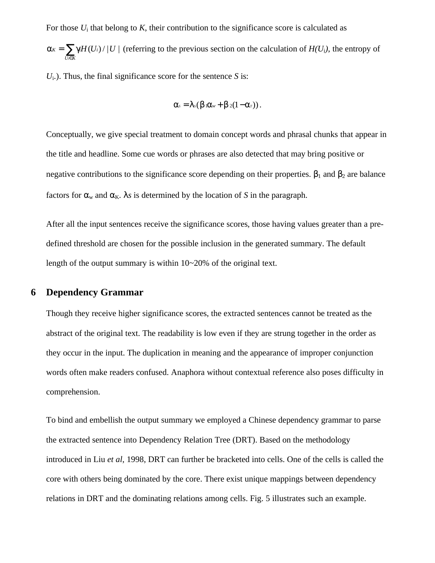For those  $U_i$  that belong to  $K$ , their contribution to the significance score is calculated as

 $=\sum_{U\in K}$  $U_i \in K$  $a_k = \sum g H(U_i) / |U|$  (referring to the previous section on the calculation of  $H(U_i)$ , the entropy of *i*

 $U_i$ .). Thus, the final significance score for the sentence *S* is:

$$
\mathbf{a}_s = \mathbf{I}_s(\mathbf{b}_1\mathbf{a}_w + \mathbf{b}_2(1-\mathbf{a}_r)).
$$

Conceptually, we give special treatment to domain concept words and phrasal chunks that appear in the title and headline. Some cue words or phrases are also detected that may bring positive or negative contributions to the significance score depending on their properties.  $\mathbf{b}_1$  and  $\mathbf{b}_2$  are balance factors for  $a_w$  and  $a_K$ . *ls* is determined by the location of *S* in the paragraph.

After all the input sentences receive the significance scores, those having values greater than a predefined threshold are chosen for the possible inclusion in the generated summary. The default length of the output summary is within 10~20% of the original text.

# **6 Dependency Grammar**

Though they receive higher significance scores, the extracted sentences cannot be treated as the abstract of the original text. The readability is low even if they are strung together in the order as they occur in the input. The duplication in meaning and the appearance of improper conjunction words often make readers confused. Anaphora without contextual reference also poses difficulty in comprehension.

To bind and embellish the output summary we employed a Chinese dependency grammar to parse the extracted sentence into Dependency Relation Tree (DRT). Based on the methodology introduced in Liu *et al*, 1998, DRT can further be bracketed into cells. One of the cells is called the core with others being dominated by the core. There exist unique mappings between dependency relations in DRT and the dominating relations among cells. Fig. 5 illustrates such an example.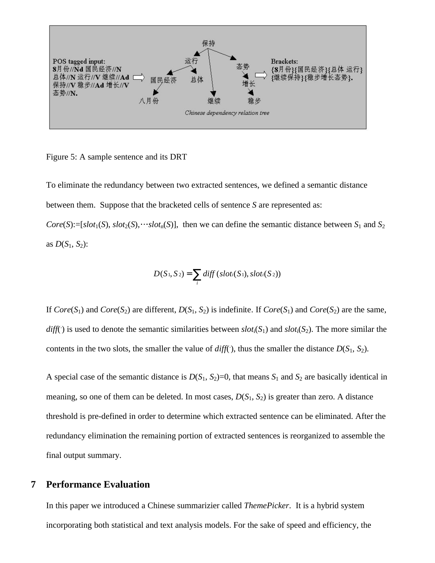

Figure 5: A sample sentence and its DRT

To eliminate the redundancy between two extracted sentences, we defined a semantic distance between them. Suppose that the bracketed cells of sentence *S* are represented as:

*Core*(*S*):=[*slot*<sub>1</sub>(*S*), *slot*<sub>2</sub>(*S*), *slot*<sub>n</sub>(*S*)], then we can define the semantic distance between *S*<sub>1</sub> and *S*<sub>2</sub> as  $D(S_1, S_2)$ :

$$
D(S_1, S_2) = \sum_i diff(slot_i(S_1), slot_i(S_2))
$$

If  $Core(S_1)$  and  $Core(S_2)$  are different,  $D(S_1, S_2)$  is indefinite. If  $Core(S_1)$  and  $Core(S_2)$  are the same,  $diff()$  is used to denote the semantic similarities between  $slot_i(S_1)$  and  $slot_i(S_2)$ . The more similar the contents in the two slots, the smaller the value of  $diff()$ , thus the smaller the distance  $D(S_1, S_2)$ .

A special case of the semantic distance is  $D(S_1, S_2)=0$ , that means  $S_1$  and  $S_2$  are basically identical in meaning, so one of them can be deleted. In most cases,  $D(S_1, S_2)$  is greater than zero. A distance threshold is pre-defined in order to determine which extracted sentence can be eliminated. After the redundancy elimination the remaining portion of extracted sentences is reorganized to assemble the final output summary.

#### **7 Performance Evaluation**

In this paper we introduced a Chinese summarizier called *ThemePicker*. It is a hybrid system incorporating both statistical and text analysis models. For the sake of speed and efficiency, the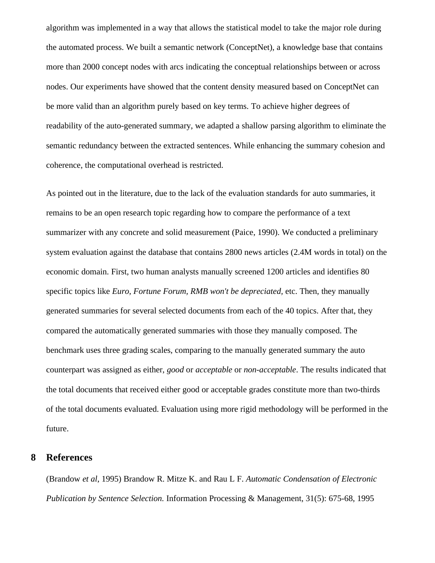algorithm was implemented in a way that allows the statistical model to take the major role during the automated process. We built a semantic network (ConceptNet), a knowledge base that contains more than 2000 concept nodes with arcs indicating the conceptual relationships between or across nodes. Our experiments have showed that the content density measured based on ConceptNet can be more valid than an algorithm purely based on key terms. To achieve higher degrees of readability of the auto-generated summary, we adapted a shallow parsing algorithm to eliminate the semantic redundancy between the extracted sentences. While enhancing the summary cohesion and coherence, the computational overhead is restricted.

As pointed out in the literature, due to the lack of the evaluation standards for auto summaries, it remains to be an open research topic regarding how to compare the performance of a text summarizer with any concrete and solid measurement (Paice, 1990). We conducted a preliminary system evaluation against the database that contains 2800 news articles (2.4M words in total) on the economic domain. First, two human analysts manually screened 1200 articles and identifies 80 specific topics like *Euro, Fortune Forum, RMB won't be depreciated,* etc. Then, they manually generated summaries for several selected documents from each of the 40 topics. After that, they compared the automatically generated summaries with those they manually composed. The benchmark uses three grading scales, comparing to the manually generated summary the auto counterpart was assigned as either, *good* or *acceptable* or *non-acceptable*. The results indicated that the total documents that received either good or acceptable grades constitute more than two-thirds of the total documents evaluated. Evaluation using more rigid methodology will be performed in the future.

#### **8 References**

(Brandow *et al*, 1995) Brandow R. Mitze K. and Rau L F. *Automatic Condensation of Electronic Publication by Sentence Selection.* Information Processing & Management, 31(5): 675-68, 1995